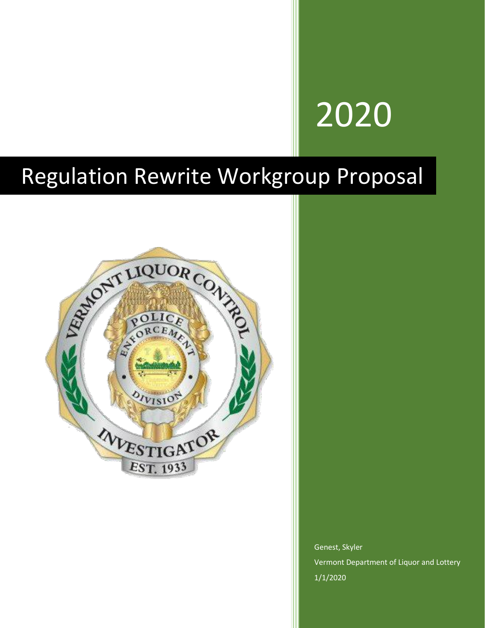# 2020

### Regulation Rewrite Workgroup Proposal



Genest, Skyler Vermont Department of Liquor and Lottery 1/1/2020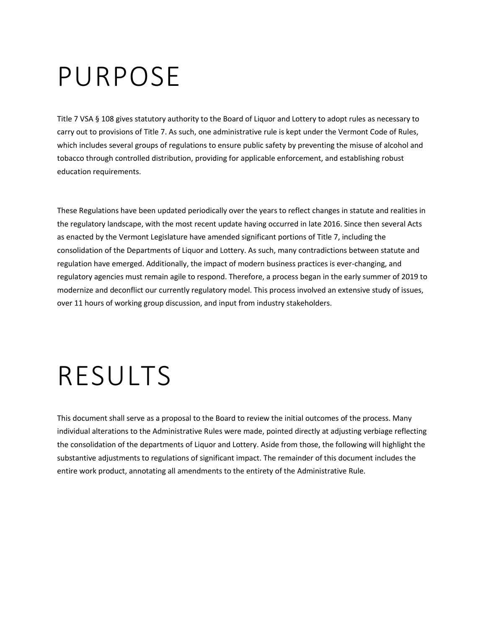## PURPOSE

Title 7 VSA § 108 gives statutory authority to the Board of Liquor and Lottery to adopt rules as necessary to carry out to provisions of Title 7. As such, one administrative rule is kept under the Vermont Code of Rules, which includes several groups of regulations to ensure public safety by preventing the misuse of alcohol and tobacco through controlled distribution, providing for applicable enforcement, and establishing robust education requirements.

These Regulations have been updated periodically over the years to reflect changes in statute and realities in the regulatory landscape, with the most recent update having occurred in late 2016. Since then several Acts as enacted by the Vermont Legislature have amended significant portions of Title 7, including the consolidation of the Departments of Liquor and Lottery. As such, many contradictions between statute and regulation have emerged. Additionally, the impact of modern business practices is ever-changing, and regulatory agencies must remain agile to respond. Therefore, a process began in the early summer of 2019 to modernize and deconflict our currently regulatory model. This process involved an extensive study of issues, over 11 hours of working group discussion, and input from industry stakeholders.

## RESULTS

This document shall serve as a proposal to the Board to review the initial outcomes of the process. Many individual alterations to the Administrative Rules were made, pointed directly at adjusting verbiage reflecting the consolidation of the departments of Liquor and Lottery. Aside from those, the following will highlight the substantive adjustments to regulations of significant impact. The remainder of this document includes the entire work product, annotating all amendments to the entirety of the Administrative Rule.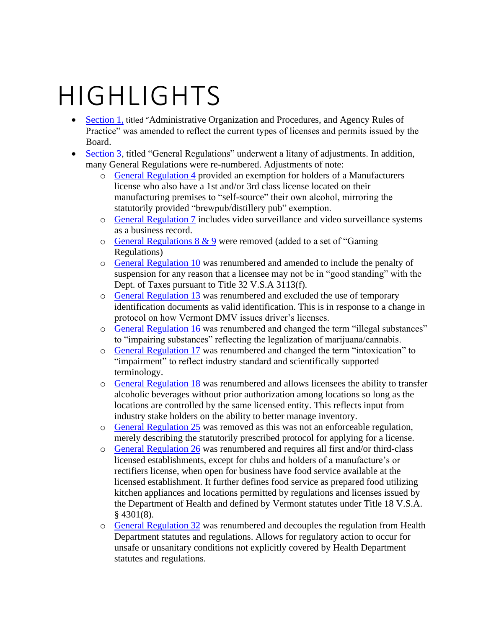## HIGHLIGHTS

- [Section 1,](#page-4-0) titled "Administrative Organization and Procedures, and Agency Rules of Practice" was amended to reflect the current types of licenses and permits issued by the Board.
- [Section 3,](#page-11-0) titled "General Regulations" underwent a litany of adjustments. In addition, many General Regulations were re-numbered. Adjustments of note:
	- o [General Regulation 4](#page-11-1) provided an exemption for holders of a Manufacturers license who also have a 1st and/or 3rd class license located on their manufacturing premises to "self-source" their own alcohol, mirroring the statutorily provided "brewpub/distillery pub" exemption.
	- o [General Regulation 7](#page-12-0) includes video surveillance and video surveillance systems as a business record.
	- $\circ$  [General Regulations 8 & 9](#page-12-1) were removed (added to a set of "Gaming" Regulations)
	- o [General Regulation 10](#page-13-0) was renumbered and amended to include the penalty of suspension for any reason that a licensee may not be in "good standing" with the Dept. of Taxes pursuant to Title 32 V.S.A 3113(f).
	- o [General Regulation 13](#page-13-1) was renumbered and excluded the use of temporary identification documents as valid identification. This is in response to a change in protocol on how Vermont DMV issues driver's licenses.
	- o [General Regulation 16](#page-13-2) was renumbered and changed the term "illegal substances" to "impairing substances" reflecting the legalization of marijuana/cannabis.
	- o [General Regulation 17](#page-14-0) was renumbered and changed the term "intoxication" to "impairment" to reflect industry standard and scientifically supported terminology.
	- o [General Regulation 18](#page-14-1) was renumbered and allows licensees the ability to transfer alcoholic beverages without prior authorization among locations so long as the locations are controlled by the same licensed entity. This reflects input from industry stake holders on the ability to better manage inventory.
	- o [General Regulation 25](#page-15-0) was removed as this was not an enforceable regulation, merely describing the statutorily prescribed protocol for applying for a license.
	- o [General Regulation 26](#page-15-1) was renumbered and requires all first and/or third-class licensed establishments, except for clubs and holders of a manufacture's or rectifiers license, when open for business have food service available at the licensed establishment. It further defines food service as prepared food utilizing kitchen appliances and locations permitted by regulations and licenses issued by the Department of Health and defined by Vermont statutes under Title 18 V.S.A.  $§$  4301(8).
	- o [General Regulation 32](#page-16-0) was renumbered and decouples the regulation from Health Department statutes and regulations. Allows for regulatory action to occur for unsafe or unsanitary conditions not explicitly covered by Health Department statutes and regulations.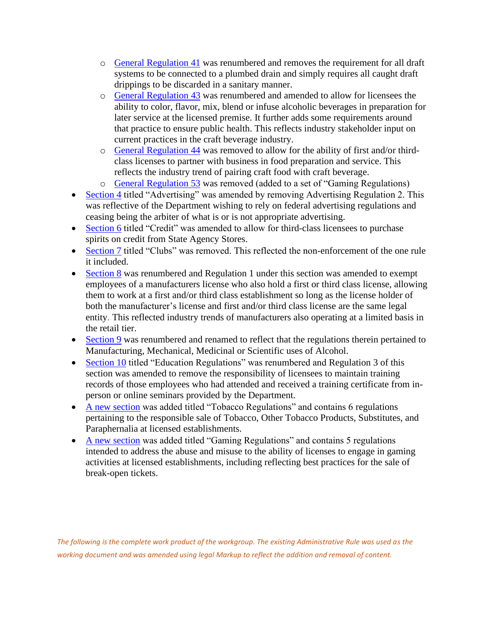- o [General Regulation 41](#page-17-0) was renumbered and removes the requirement for all draft systems to be connected to a plumbed drain and simply requires all caught draft drippings to be discarded in a sanitary manner.
- o [General Regulation 43](#page-18-0) was renumbered and amended to allow for licensees the ability to color, flavor, mix, blend or infuse alcoholic beverages in preparation for later service at the licensed premise. It further adds some requirements around that practice to ensure public health. This reflects industry stakeholder input on current practices in the craft beverage industry.
- o [General Regulation 44](#page-18-1) was removed to allow for the ability of first and/or thirdclass licenses to partner with business in food preparation and service. This reflects the industry trend of pairing craft food with craft beverage.
- o [General Regulation 53](#page-20-0) was removed (added to a set of "Gaming Regulations)
- [Section 4](#page-21-0) titled "Advertising" was amended by removing Advertising Regulation 2. This was reflective of the Department wishing to rely on federal advertising regulations and ceasing being the arbiter of what is or is not appropriate advertising.
- [Section 6](#page-23-0) titled "Credit" was amended to allow for third-class licensees to purchase spirits on credit from State Agency Stores.
- [Section 7](#page-23-1) titled "Clubs" was removed. This reflected the non-enforcement of the one rule it included.
- [Section 8](#page-23-2) was renumbered and Regulation 1 under this section was amended to exempt employees of a manufacturers license who also hold a first or third class license, allowing them to work at a first and/or third class establishment so long as the license holder of both the manufacturer's license and first and/or third class license are the same legal entity. This reflected industry trends of manufacturers also operating at a limited basis in the retail tier.
- [Section 9](#page-26-0) was renumbered and renamed to reflect that the regulations therein pertained to Manufacturing, Mechanical, Medicinal or Scientific uses of Alcohol.
- [Section 10](#page-27-0) titled "Education Regulations" was renumbered and Regulation 3 of this section was amended to remove the responsibility of licensees to maintain training records of those employees who had attended and received a training certificate from inperson or online seminars provided by the Department.
- [A new section](#page-28-0) was added titled "Tobacco Regulations" and contains 6 regulations pertaining to the responsible sale of Tobacco, Other Tobacco Products, Substitutes, and Paraphernalia at licensed establishments.
- [A new section](#page-29-0) was added titled "Gaming Regulations" and contains 5 regulations intended to address the abuse and misuse to the ability of licenses to engage in gaming activities at licensed establishments, including reflecting best practices for the sale of break-open tickets.

*The following is the complete work product of the workgroup. The existing Administrative Rule was used as the working document and was amended using legal Markup to reflect the addition and removal of content.*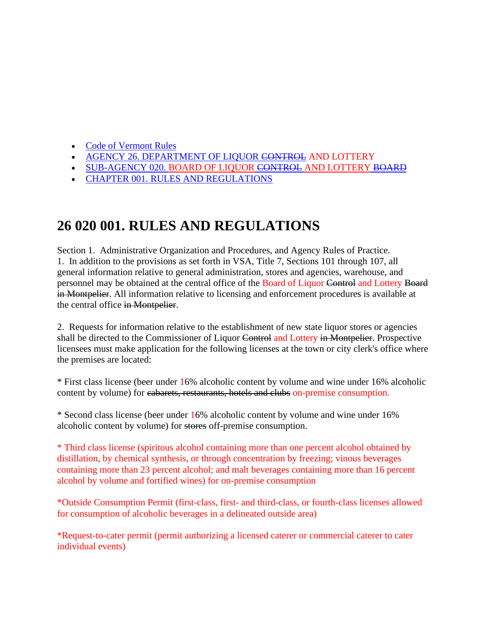- [Code of Vermont Rules](https://advance.lexis.com/documentpage/?pdmfid=1000516&crid=e84c73d5-7aa3-4382-b0a8-55961d045c00&nodeid=AAOAABAABAAB&nodepath=%2FROOT%2FAAO%2FAAOAAB%2FAAOAABAAB%2FAAOAABAABAAB&level=4&haschildren=&populated=false&title=26+020+001.+RULES+AND+REGULATIONS&config=00JAA3YmIxY2M5OC0zYmJjLTQ4ZjMtYjY3Yi02ODZhMTViYWUzMmEKAFBvZENhdGFsb2dfKuGXoJFNHKuKZG9OqaaI&pddocfullpath=%2Fshared%2Fdocument%2Fadministrative-codes%2Furn%3AcontentItem%3A5WND-G670-00C2-9101-00008-00&ecomp=g3v8kkk&prid=f50632de-b163-43ed-93d2-baa349bb35a2)
- [AGENCY 26. DEPARTMENT OF LIQUOR CONTROL](https://advance.lexis.com/documentpage/?pdmfid=1000516&crid=e84c73d5-7aa3-4382-b0a8-55961d045c00&nodeid=AAOAABAABAAB&nodepath=%2FROOT%2FAAO%2FAAOAAB%2FAAOAABAAB%2FAAOAABAABAAB&level=4&haschildren=&populated=false&title=26+020+001.+RULES+AND+REGULATIONS&config=00JAA3YmIxY2M5OC0zYmJjLTQ4ZjMtYjY3Yi02ODZhMTViYWUzMmEKAFBvZENhdGFsb2dfKuGXoJFNHKuKZG9OqaaI&pddocfullpath=%2Fshared%2Fdocument%2Fadministrative-codes%2Furn%3AcontentItem%3A5WND-G670-00C2-9101-00008-00&ecomp=g3v8kkk&prid=f50632de-b163-43ed-93d2-baa349bb35a2) AND LOTTERY
- [SUB-AGENCY 020. BOARD OF LIQUOR](https://advance.lexis.com/documentpage/?pdmfid=1000516&crid=e84c73d5-7aa3-4382-b0a8-55961d045c00&nodeid=AAOAABAABAAB&nodepath=%2FROOT%2FAAO%2FAAOAAB%2FAAOAABAAB%2FAAOAABAABAAB&level=4&haschildren=&populated=false&title=26+020+001.+RULES+AND+REGULATIONS&config=00JAA3YmIxY2M5OC0zYmJjLTQ4ZjMtYjY3Yi02ODZhMTViYWUzMmEKAFBvZENhdGFsb2dfKuGXoJFNHKuKZG9OqaaI&pddocfullpath=%2Fshared%2Fdocument%2Fadministrative-codes%2Furn%3AcontentItem%3A5WND-G670-00C2-9101-00008-00&ecomp=g3v8kkk&prid=f50632de-b163-43ed-93d2-baa349bb35a2) CONTROL AND LOTTERY BOARD
- [CHAPTER 001. RULES AND REGULATIONS](https://advance.lexis.com/documentpage/?pdmfid=1000516&crid=e84c73d5-7aa3-4382-b0a8-55961d045c00&nodeid=AAOAABAABAAB&nodepath=%2FROOT%2FAAO%2FAAOAAB%2FAAOAABAAB%2FAAOAABAABAAB&level=4&haschildren=&populated=false&title=26+020+001.+RULES+AND+REGULATIONS&config=00JAA3YmIxY2M5OC0zYmJjLTQ4ZjMtYjY3Yi02ODZhMTViYWUzMmEKAFBvZENhdGFsb2dfKuGXoJFNHKuKZG9OqaaI&pddocfullpath=%2Fshared%2Fdocument%2Fadministrative-codes%2Furn%3AcontentItem%3A5WND-G670-00C2-9101-00008-00&ecomp=g3v8kkk&prid=f50632de-b163-43ed-93d2-baa349bb35a2)

### **26 020 001. RULES AND REGULATIONS**

<span id="page-4-0"></span>Section 1. Administrative Organization and Procedures, and Agency Rules of Practice. 1. In addition to the provisions as set forth in VSA, Title 7, Sections 101 through 107, all general information relative to general administration, stores and agencies, warehouse, and personnel may be obtained at the central office of the Board of Liquor Control and Lottery Board in Montpelier. All information relative to licensing and enforcement procedures is available at the central office in Montpelier.

2. Requests for information relative to the establishment of new state liquor stores or agencies shall be directed to the Commissioner of Liquor Control and Lottery in Montpelier. Prospective licensees must make application for the following licenses at the town or city clerk's office where the premises are located:

\* First class license (beer under 16% alcoholic content by volume and wine under 16% alcoholic content by volume) for cabarets, restaurants, hotels and clubs on-premise consumption.

\* Second class license (beer under 16% alcoholic content by volume and wine under 16% alcoholic content by volume) for stores off-premise consumption.

\* Third class license (spiritous alcohol containing more than one percent alcohol obtained by distillation, by chemical synthesis, or through concentration by freezing; vinous beverages containing more than 23 percent alcohol; and malt beverages containing more than 16 percent alcohol by volume and fortified wines) for on-premise consumption

\*Outside Consumption Permit (first-class, first- and third-class, or fourth-class licenses allowed for consumption of alcoholic beverages in a delineated outside area)

\*Request-to-cater permit (permit authorizing a licensed caterer or commercial caterer to cater individual events)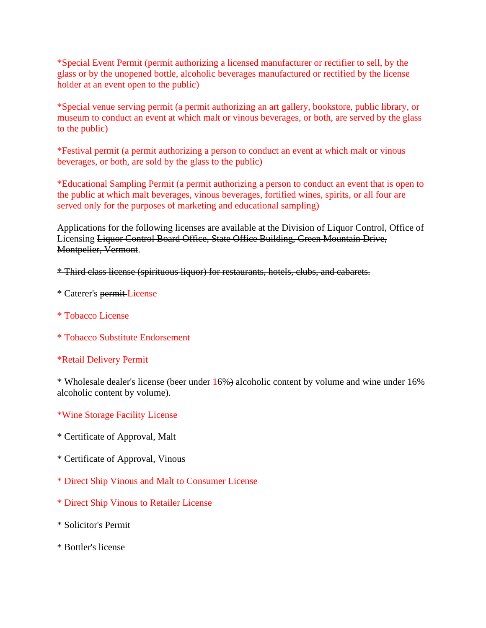\*Special Event Permit (permit authorizing a licensed manufacturer or rectifier to sell, by the glass or by the unopened bottle, alcoholic beverages manufactured or rectified by the license holder at an event open to the public)

\*Special venue serving permit (a permit authorizing an art gallery, bookstore, public library, or museum to conduct an event at which malt or vinous beverages, or both, are served by the glass to the public)

\*Festival permit (a permit authorizing a person to conduct an event at which malt or vinous beverages, or both, are sold by the glass to the public)

\*Educational Sampling Permit (a permit authorizing a person to conduct an event that is open to the public at which malt beverages, vinous beverages, fortified wines, spirits, or all four are served only for the purposes of marketing and educational sampling)

Applications for the following licenses are available at the Division of Liquor Control, Office of Licensing Liquor Control Board Office, State Office Building, Green Mountain Drive, Montpelier, Vermont.

\* Third class license (spirituous liquor) for restaurants, hotels, clubs, and cabarets.

- \* Caterer's permit License
- \* Tobacco License
- \* Tobacco Substitute Endorsement

#### \*Retail Delivery Permit

\* Wholesale dealer's license (beer under 16%) alcoholic content by volume and wine under 16% alcoholic content by volume).

#### \*Wine Storage Facility License

- \* Certificate of Approval, Malt
- \* Certificate of Approval, Vinous
- \* Direct Ship Vinous and Malt to Consumer License
- \* Direct Ship Vinous to Retailer License
- \* Solicitor's Permit
- \* Bottler's license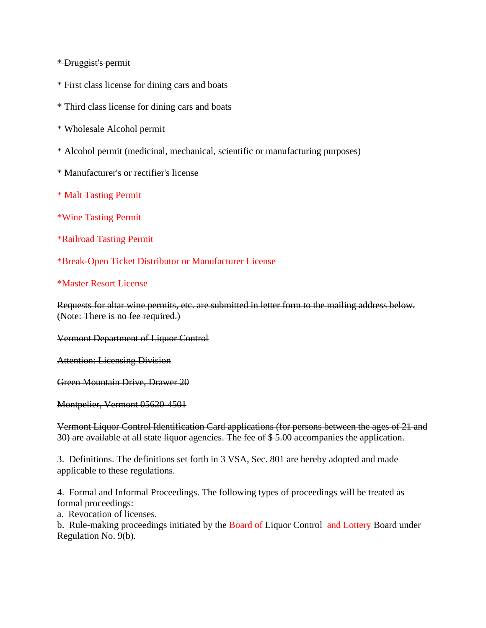#### \* Druggist's permit

- \* First class license for dining cars and boats
- \* Third class license for dining cars and boats
- \* Wholesale Alcohol permit
- \* Alcohol permit (medicinal, mechanical, scientific or manufacturing purposes)
- \* Manufacturer's or rectifier's license
- \* Malt Tasting Permit
- \*Wine Tasting Permit
- \*Railroad Tasting Permit
- \*Break-Open Ticket Distributor or Manufacturer License

#### \*Master Resort License

Requests for altar wine permits, etc. are submitted in letter form to the mailing address below. (Note: There is no fee required.)

Vermont Department of Liquor Control

Attention: Licensing Division

Green Mountain Drive, Drawer 20

Montpelier, Vermont 05620-4501

Vermont Liquor Control Identification Card applications (for persons between the ages of 21 and 30) are available at all state liquor agencies. The fee of \$ 5.00 accompanies the application.

3. Definitions. The definitions set forth in 3 VSA, Sec. 801 are hereby adopted and made applicable to these regulations.

4. Formal and Informal Proceedings. The following types of proceedings will be treated as formal proceedings:

a. Revocation of licenses.

b. Rule-making proceedings initiated by the Board of Liquor Control and Lottery Board under Regulation No. 9(b).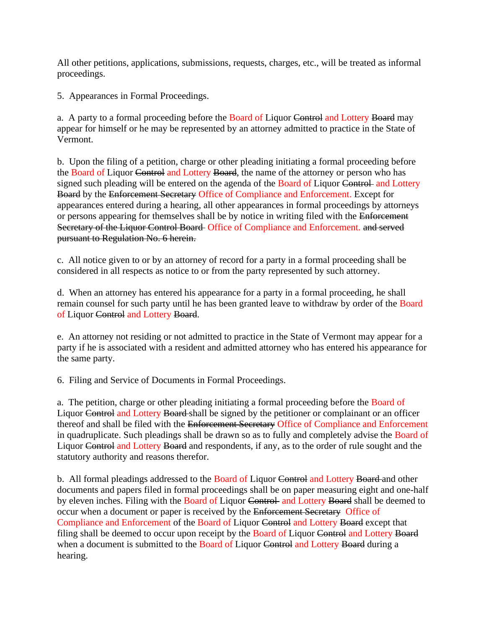All other petitions, applications, submissions, requests, charges, etc., will be treated as informal proceedings.

5. Appearances in Formal Proceedings.

a. A party to a formal proceeding before the Board of Liquor Control and Lottery Board may appear for himself or he may be represented by an attorney admitted to practice in the State of Vermont.

b. Upon the filing of a petition, charge or other pleading initiating a formal proceeding before the Board of Liquor Control and Lottery Board, the name of the attorney or person who has signed such pleading will be entered on the agenda of the Board of Liquor Control and Lottery Board by the Enforcement Secretary Office of Compliance and Enforcement. Except for appearances entered during a hearing, all other appearances in formal proceedings by attorneys or persons appearing for themselves shall be by notice in writing filed with the Enforcement Secretary of the Liquor Control Board Office of Compliance and Enforcement. and served pursuant to Regulation No. 6 herein.

c. All notice given to or by an attorney of record for a party in a formal proceeding shall be considered in all respects as notice to or from the party represented by such attorney.

d. When an attorney has entered his appearance for a party in a formal proceeding, he shall remain counsel for such party until he has been granted leave to withdraw by order of the Board of Liquor Control and Lottery Board.

e. An attorney not residing or not admitted to practice in the State of Vermont may appear for a party if he is associated with a resident and admitted attorney who has entered his appearance for the same party.

6. Filing and Service of Documents in Formal Proceedings.

a. The petition, charge or other pleading initiating a formal proceeding before the Board of Liquor Control and Lottery Board shall be signed by the petitioner or complainant or an officer thereof and shall be filed with the Enforcement Secretary Office of Compliance and Enforcement in quadruplicate. Such pleadings shall be drawn so as to fully and completely advise the Board of Liquor Control and Lottery Board and respondents, if any, as to the order of rule sought and the statutory authority and reasons therefor.

b. All formal pleadings addressed to the Board of Liquor Control and Lottery Board and other documents and papers filed in formal proceedings shall be on paper measuring eight and one-half by eleven inches. Filing with the Board of Liquor Control and Lottery Board shall be deemed to occur when a document or paper is received by the Enforcement Secretary Office of Compliance and Enforcement of the Board of Liquor Control and Lottery Board except that filing shall be deemed to occur upon receipt by the Board of Liquor Control and Lottery Board when a document is submitted to the Board of Liquor Control and Lottery Board during a hearing.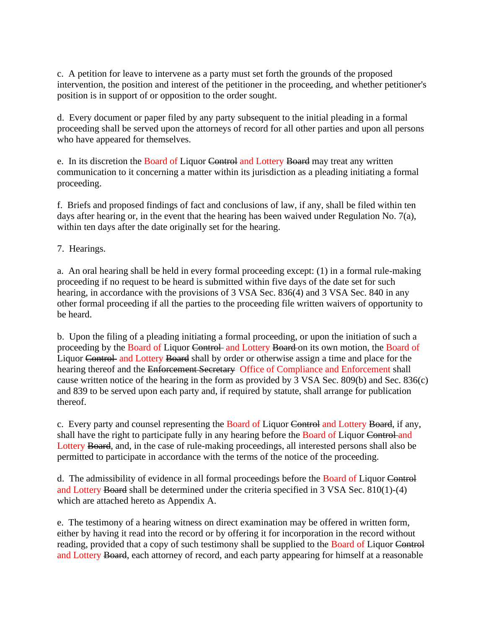c. A petition for leave to intervene as a party must set forth the grounds of the proposed intervention, the position and interest of the petitioner in the proceeding, and whether petitioner's position is in support of or opposition to the order sought.

d. Every document or paper filed by any party subsequent to the initial pleading in a formal proceeding shall be served upon the attorneys of record for all other parties and upon all persons who have appeared for themselves.

e. In its discretion the Board of Liquor Control and Lottery Board may treat any written communication to it concerning a matter within its jurisdiction as a pleading initiating a formal proceeding.

f. Briefs and proposed findings of fact and conclusions of law, if any, shall be filed within ten days after hearing or, in the event that the hearing has been waived under Regulation No. 7(a), within ten days after the date originally set for the hearing.

7. Hearings.

a. An oral hearing shall be held in every formal proceeding except: (1) in a formal rule-making proceeding if no request to be heard is submitted within five days of the date set for such hearing, in accordance with the provisions of 3 VSA Sec. 836(4) and 3 VSA Sec. 840 in any other formal proceeding if all the parties to the proceeding file written waivers of opportunity to be heard.

b. Upon the filing of a pleading initiating a formal proceeding, or upon the initiation of such a proceeding by the Board of Liquor Control and Lottery Board on its own motion, the Board of Liquor Control and Lottery Board shall by order or otherwise assign a time and place for the hearing thereof and the Enforcement Secretary Office of Compliance and Enforcement shall cause written notice of the hearing in the form as provided by 3 VSA Sec. 809(b) and Sec. 836(c) and 839 to be served upon each party and, if required by statute, shall arrange for publication thereof.

c. Every party and counsel representing the Board of Liquor Control and Lottery Board, if any, shall have the right to participate fully in any hearing before the Board of Liquor Control and Lottery Board, and, in the case of rule-making proceedings, all interested persons shall also be permitted to participate in accordance with the terms of the notice of the proceeding.

d. The admissibility of evidence in all formal proceedings before the Board of Liquor Control and Lottery Board shall be determined under the criteria specified in 3 VSA Sec. 810(1)-(4) which are attached hereto as Appendix A.

e. The testimony of a hearing witness on direct examination may be offered in written form, either by having it read into the record or by offering it for incorporation in the record without reading, provided that a copy of such testimony shall be supplied to the Board of Liquor Control and Lottery Board, each attorney of record, and each party appearing for himself at a reasonable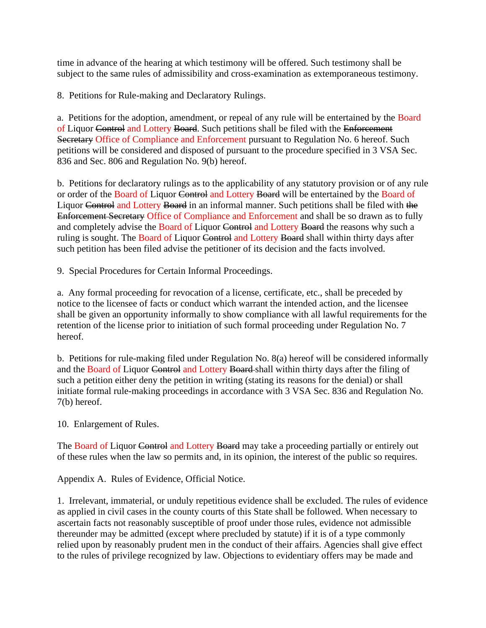time in advance of the hearing at which testimony will be offered. Such testimony shall be subject to the same rules of admissibility and cross-examination as extemporaneous testimony.

8. Petitions for Rule-making and Declaratory Rulings.

a. Petitions for the adoption, amendment, or repeal of any rule will be entertained by the Board of Liquor Control and Lottery Board. Such petitions shall be filed with the Enforcement Secretary Office of Compliance and Enforcement pursuant to Regulation No. 6 hereof. Such petitions will be considered and disposed of pursuant to the procedure specified in 3 VSA Sec. 836 and Sec. 806 and Regulation No. 9(b) hereof.

b. Petitions for declaratory rulings as to the applicability of any statutory provision or of any rule or order of the Board of Liquor Control and Lottery Board will be entertained by the Board of Liquor Control and Lottery Board in an informal manner. Such petitions shall be filed with the Enforcement Secretary Office of Compliance and Enforcement and shall be so drawn as to fully and completely advise the Board of Liquor Control and Lottery Board the reasons why such a ruling is sought. The Board of Liquor Control and Lottery Board shall within thirty days after such petition has been filed advise the petitioner of its decision and the facts involved.

9. Special Procedures for Certain Informal Proceedings.

a. Any formal proceeding for revocation of a license, certificate, etc., shall be preceded by notice to the licensee of facts or conduct which warrant the intended action, and the licensee shall be given an opportunity informally to show compliance with all lawful requirements for the retention of the license prior to initiation of such formal proceeding under Regulation No. 7 hereof.

b. Petitions for rule-making filed under Regulation No. 8(a) hereof will be considered informally and the Board of Liquor Control and Lottery Board shall within thirty days after the filing of such a petition either deny the petition in writing (stating its reasons for the denial) or shall initiate formal rule-making proceedings in accordance with 3 VSA Sec. 836 and Regulation No. 7(b) hereof.

10. Enlargement of Rules.

The Board of Liquor Control and Lottery Board may take a proceeding partially or entirely out of these rules when the law so permits and, in its opinion, the interest of the public so requires.

Appendix A. Rules of Evidence, Official Notice.

1. Irrelevant, immaterial, or unduly repetitious evidence shall be excluded. The rules of evidence as applied in civil cases in the county courts of this State shall be followed. When necessary to ascertain facts not reasonably susceptible of proof under those rules, evidence not admissible thereunder may be admitted (except where precluded by statute) if it is of a type commonly relied upon by reasonably prudent men in the conduct of their affairs. Agencies shall give effect to the rules of privilege recognized by law. Objections to evidentiary offers may be made and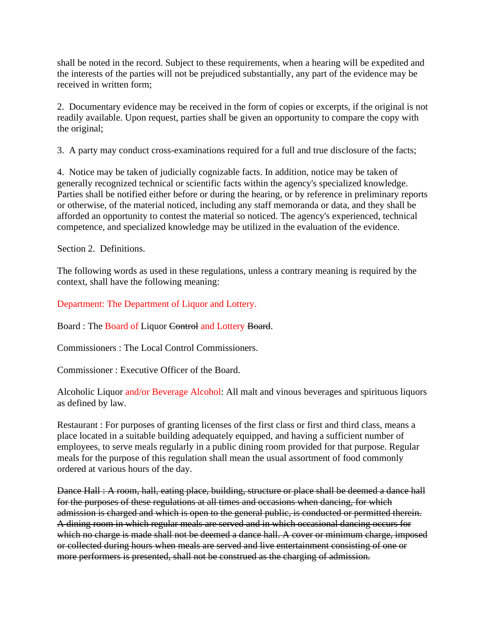shall be noted in the record. Subject to these requirements, when a hearing will be expedited and the interests of the parties will not be prejudiced substantially, any part of the evidence may be received in written form;

2. Documentary evidence may be received in the form of copies or excerpts, if the original is not readily available. Upon request, parties shall be given an opportunity to compare the copy with the original;

3. A party may conduct cross-examinations required for a full and true disclosure of the facts;

4. Notice may be taken of judicially cognizable facts. In addition, notice may be taken of generally recognized technical or scientific facts within the agency's specialized knowledge. Parties shall be notified either before or during the hearing, or by reference in preliminary reports or otherwise, of the material noticed, including any staff memoranda or data, and they shall be afforded an opportunity to contest the material so noticed. The agency's experienced, technical competence, and specialized knowledge may be utilized in the evaluation of the evidence.

Section 2. Definitions.

The following words as used in these regulations, unless a contrary meaning is required by the context, shall have the following meaning:

Department: The Department of Liquor and Lottery.

Board : The Board of Liquor Control and Lottery Board.

Commissioners : The Local Control Commissioners.

Commissioner : Executive Officer of the Board.

Alcoholic Liquor and/or Beverage Alcohol: All malt and vinous beverages and spirituous liquors as defined by law.

Restaurant : For purposes of granting licenses of the first class or first and third class, means a place located in a suitable building adequately equipped, and having a sufficient number of employees, to serve meals regularly in a public dining room provided for that purpose. Regular meals for the purpose of this regulation shall mean the usual assortment of food commonly ordered at various hours of the day.

Dance Hall : A room, hall, eating place, building, structure or place shall be deemed a dance hall for the purposes of these regulations at all times and occasions when dancing, for which admission is charged and which is open to the general public, is conducted or permitted therein. A dining room in which regular meals are served and in which occasional dancing occurs for which no charge is made shall not be deemed a dance hall. A cover or minimum charge, imposed or collected during hours when meals are served and live entertainment consisting of one or more performers is presented, shall not be construed as the charging of admission.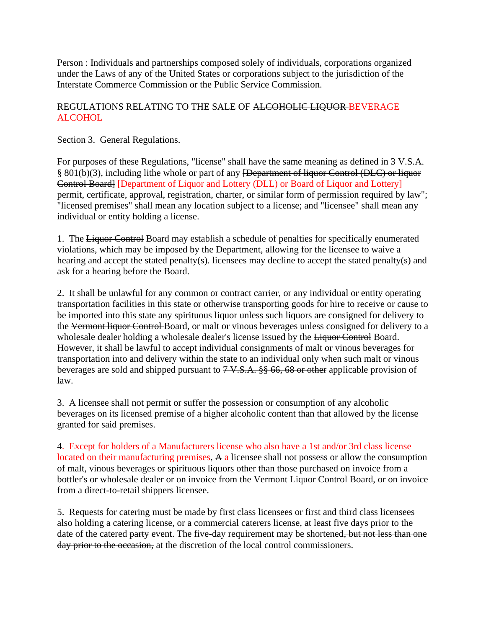Person : Individuals and partnerships composed solely of individuals, corporations organized under the Laws of any of the United States or corporations subject to the jurisdiction of the Interstate Commerce Commission or the Public Service Commission.

#### REGULATIONS RELATING TO THE SALE OF ALCOHOLIC LIQUOR BEVERAGE ALCOHOL

<span id="page-11-0"></span>Section 3. General Regulations.

For purposes of these Regulations, "license" shall have the same meaning as defined in 3 V.S.A. § 801(b)(3), including lithe whole or part of any [Department of liquor Control (DLC) or liquor Control Board] [Department of Liquor and Lottery (DLL) or Board of Liquor and Lottery] permit, certificate, approval, registration, charter, or similar form of permission required by law"; "licensed premises" shall mean any location subject to a license; and "licensee" shall mean any individual or entity holding a license.

1. The Liquor Control Board may establish a schedule of penalties for specifically enumerated violations, which may be imposed by the Department, allowing for the licensee to waive a hearing and accept the stated penalty(s). licensees may decline to accept the stated penalty(s) and ask for a hearing before the Board.

2. It shall be unlawful for any common or contract carrier, or any individual or entity operating transportation facilities in this state or otherwise transporting goods for hire to receive or cause to be imported into this state any spirituous liquor unless such liquors are consigned for delivery to the Vermont liquor Control Board, or malt or vinous beverages unless consigned for delivery to a wholesale dealer holding a wholesale dealer's license issued by the Liquor Control Board. However, it shall be lawful to accept individual consignments of malt or vinous beverages for transportation into and delivery within the state to an individual only when such malt or vinous beverages are sold and shipped pursuant to  $7 \text{ V.S.A.}$  §§ 66, 68 or other applicable provision of law.

3. A licensee shall not permit or suffer the possession or consumption of any alcoholic beverages on its licensed premise of a higher alcoholic content than that allowed by the license granted for said premises.

<span id="page-11-1"></span>4. Except for holders of a Manufacturers license who also have a 1st and/or 3rd class license located on their manufacturing premises, A a licensee shall not possess or allow the consumption of malt, vinous beverages or spirituous liquors other than those purchased on invoice from a bottler's or wholesale dealer or on invoice from the Vermont Liquor Control Board, or on invoice from a direct-to-retail shippers licensee.

5. Requests for catering must be made by first class licensees or first and third class licensees also holding a catering license, or a commercial caterers license, at least five days prior to the date of the catered party event. The five-day requirement may be shortened, but not less than one day prior to the occasion, at the discretion of the local control commissioners.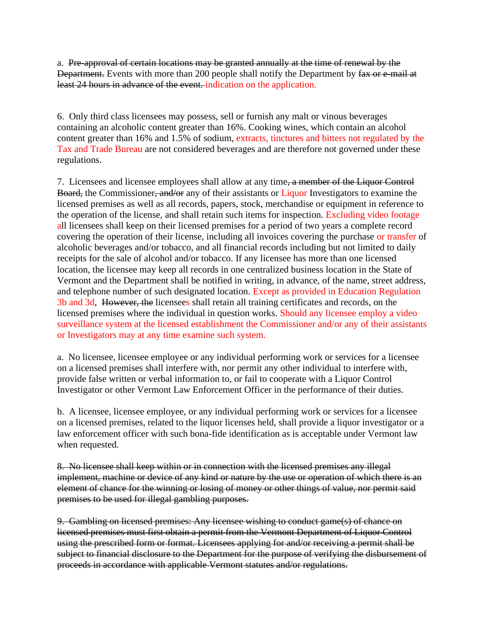a. Pre-approval of certain locations may be granted annually at the time of renewal by the Department. Events with more than 200 people shall notify the Department by fax or e-mail at least 24 hours in advance of the event. indication on the application.

6. Only third class licensees may possess, sell or furnish any malt or vinous beverages containing an alcoholic content greater than 16%. Cooking wines, which contain an alcohol content greater than 16% and 1.5% of sodium, extracts, tinctures and bitters not regulated by the Tax and Trade Bureau are not considered beverages and are therefore not governed under these regulations.

<span id="page-12-0"></span>7. Licensees and licensee employees shall allow at any time, a member of the Liquor Control Board, the Commissioner, and/or any of their assistants or Liquor Investigators to examine the licensed premises as well as all records, papers, stock, merchandise or equipment in reference to the operation of the license, and shall retain such items for inspection. Excluding video footage all licensees shall keep on their licensed premises for a period of two years a complete record covering the operation of their license, including all invoices covering the purchase or transfer of alcoholic beverages and/or tobacco, and all financial records including but not limited to daily receipts for the sale of alcohol and/or tobacco. If any licensee has more than one licensed location, the licensee may keep all records in one centralized business location in the State of Vermont and the Department shall be notified in writing, in advance, of the name, street address, and telephone number of such designated location. Except as provided in Education Regulation 3b and 3d, However, the licensees shall retain all training certificates and records, on the licensed premises where the individual in question works. Should any licensee employ a video surveillance system at the licensed establishment the Commissioner and/or any of their assistants or Investigators may at any time examine such system.

a. No licensee, licensee employee or any individual performing work or services for a licensee on a licensed premises shall interfere with, nor permit any other individual to interfere with, provide false written or verbal information to, or fail to cooperate with a Liquor Control Investigator or other Vermont Law Enforcement Officer in the performance of their duties.

b. A licensee, licensee employee, or any individual performing work or services for a licensee on a licensed premises, related to the liquor licenses held, shall provide a liquor investigator or a law enforcement officer with such bona-fide identification as is acceptable under Vermont law when requested.

<span id="page-12-1"></span>8. No licensee shall keep within or in connection with the licensed premises any illegal implement, machine or device of any kind or nature by the use or operation of which there is an element of chance for the winning or losing of money or other things of value, nor permit said premises to be used for illegal gambling purposes.

9. Gambling on licensed premises: Any licensee wishing to conduct game(s) of chance on licensed premises must first obtain a permit from the Vermont Department of Liquor Control using the prescribed form or format. Licensees applying for and/or receiving a permit shall be subject to financial disclosure to the Department for the purpose of verifying the disbursement of proceeds in accordance with applicable Vermont statutes and/or regulations.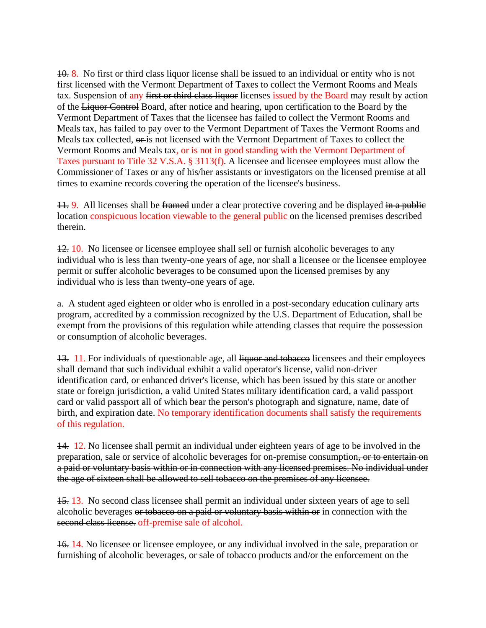<span id="page-13-0"></span>10. 8. No first or third class liquor license shall be issued to an individual or entity who is not first licensed with the Vermont Department of Taxes to collect the Vermont Rooms and Meals tax. Suspension of any first or third class liquor licenses issued by the Board may result by action of the Liquor Control Board, after notice and hearing, upon certification to the Board by the Vermont Department of Taxes that the licensee has failed to collect the Vermont Rooms and Meals tax, has failed to pay over to the Vermont Department of Taxes the Vermont Rooms and Meals tax collected, or is not licensed with the Vermont Department of Taxes to collect the Vermont Rooms and Meals tax, or is not in good standing with the Vermont Department of Taxes pursuant to Title 32 V.S.A. § 3113(f). A licensee and licensee employees must allow the Commissioner of Taxes or any of his/her assistants or investigators on the licensed premise at all times to examine records covering the operation of the licensee's business.

11. 9. All licenses shall be framed under a clear protective covering and be displayed in a public location conspicuous location viewable to the general public on the licensed premises described therein.

12. 10. No licensee or licensee employee shall sell or furnish alcoholic beverages to any individual who is less than twenty-one years of age, nor shall a licensee or the licensee employee permit or suffer alcoholic beverages to be consumed upon the licensed premises by any individual who is less than twenty-one years of age.

a. A student aged eighteen or older who is enrolled in a post-secondary education culinary arts program, accredited by a commission recognized by the U.S. Department of Education, shall be exempt from the provisions of this regulation while attending classes that require the possession or consumption of alcoholic beverages.

<span id="page-13-1"></span>13. 11. For individuals of questionable age, all liquor and tobacco licensees and their employees shall demand that such individual exhibit a valid operator's license, valid non-driver identification card, or enhanced driver's license, which has been issued by this state or another state or foreign jurisdiction, a valid United States military identification card, a valid passport card or valid passport all of which bear the person's photograph and signature, name, date of birth, and expiration date. No temporary identification documents shall satisfy the requirements of this regulation.

14. 12. No licensee shall permit an individual under eighteen years of age to be involved in the preparation, sale or service of alcoholic beverages for on-premise consumption, or to entertain on a paid or voluntary basis within or in connection with any licensed premises. No individual under the age of sixteen shall be allowed to sell tobacco on the premises of any licensee.

15. 13. No second class licensee shall permit an individual under sixteen years of age to sell alcoholic beverages or tobacco on a paid or voluntary basis within or in connection with the second class license. off-premise sale of alcohol.

<span id="page-13-2"></span>16. 14. No licensee or licensee employee, or any individual involved in the sale, preparation or furnishing of alcoholic beverages, or sale of tobacco products and/or the enforcement on the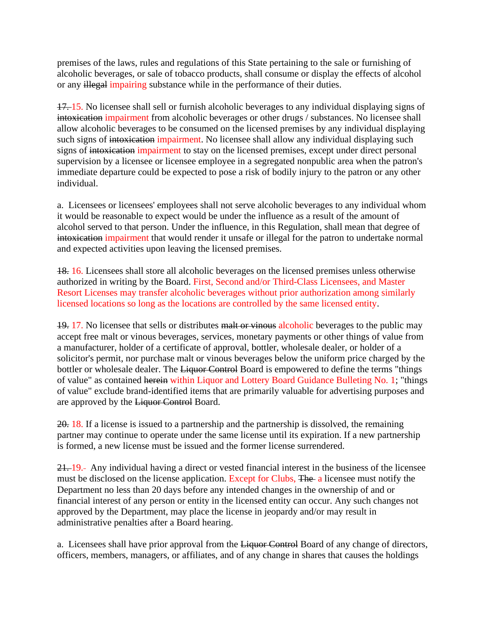premises of the laws, rules and regulations of this State pertaining to the sale or furnishing of alcoholic beverages, or sale of tobacco products, shall consume or display the effects of alcohol or any illegal impairing substance while in the performance of their duties.

<span id="page-14-0"></span>17. 15. No licensee shall sell or furnish alcoholic beverages to any individual displaying signs of intoxication impairment from alcoholic beverages or other drugs / substances. No licensee shall allow alcoholic beverages to be consumed on the licensed premises by any individual displaying such signs of intoxication impairment. No licensee shall allow any individual displaying such signs of intoxication impairment to stay on the licensed premises, except under direct personal supervision by a licensee or licensee employee in a segregated nonpublic area when the patron's immediate departure could be expected to pose a risk of bodily injury to the patron or any other individual.

a. Licensees or licensees' employees shall not serve alcoholic beverages to any individual whom it would be reasonable to expect would be under the influence as a result of the amount of alcohol served to that person. Under the influence, in this Regulation, shall mean that degree of intoxication impairment that would render it unsafe or illegal for the patron to undertake normal and expected activities upon leaving the licensed premises.

<span id="page-14-1"></span>18. 16. Licensees shall store all alcoholic beverages on the licensed premises unless otherwise authorized in writing by the Board. First, Second and/or Third-Class Licensees, and Master Resort Licenses may transfer alcoholic beverages without prior authorization among similarly licensed locations so long as the locations are controlled by the same licensed entity.

19. 17. No licensee that sells or distributes malt or vinous alcoholic beverages to the public may accept free malt or vinous beverages, services, monetary payments or other things of value from a manufacturer, holder of a certificate of approval, bottler, wholesale dealer, or holder of a solicitor's permit, nor purchase malt or vinous beverages below the uniform price charged by the bottler or wholesale dealer. The Liquor Control Board is empowered to define the terms "things of value" as contained herein within Liquor and Lottery Board Guidance Bulleting No. 1; "things of value" exclude brand-identified items that are primarily valuable for advertising purposes and are approved by the Liquor Control Board.

20. 18. If a license is issued to a partnership and the partnership is dissolved, the remaining partner may continue to operate under the same license until its expiration. If a new partnership is formed, a new license must be issued and the former license surrendered.

21. 19. Any individual having a direct or vested financial interest in the business of the licensee must be disclosed on the license application. Except for Clubs, The a licensee must notify the Department no less than 20 days before any intended changes in the ownership of and or financial interest of any person or entity in the licensed entity can occur. Any such changes not approved by the Department, may place the license in jeopardy and/or may result in administrative penalties after a Board hearing.

a. Licensees shall have prior approval from the Liquor Control Board of any change of directors, officers, members, managers, or affiliates, and of any change in shares that causes the holdings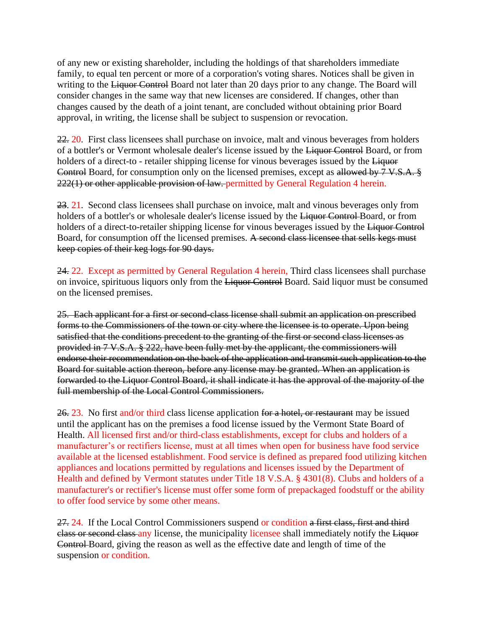of any new or existing shareholder, including the holdings of that shareholders immediate family, to equal ten percent or more of a corporation's voting shares. Notices shall be given in writing to the Liquor Control Board not later than 20 days prior to any change. The Board will consider changes in the same way that new licenses are considered. If changes, other than changes caused by the death of a joint tenant, are concluded without obtaining prior Board approval, in writing, the license shall be subject to suspension or revocation.

22. 20. First class licensees shall purchase on invoice, malt and vinous beverages from holders of a bottler's or Vermont wholesale dealer's license issued by the Liquor Control Board, or from holders of a direct-to - retailer shipping license for vinous beverages issued by the Liquor Control Board, for consumption only on the licensed premises, except as allowed by 7 V.S.A. § 222(1) or other applicable provision of law. permitted by General Regulation 4 herein.

23. 21. Second class licensees shall purchase on invoice, malt and vinous beverages only from holders of a bottler's or wholesale dealer's license issued by the Liquor Control Board, or from holders of a direct-to-retailer shipping license for vinous beverages issued by the Liquor Control Board, for consumption off the licensed premises. A second class licensee that sells kegs must keep copies of their keg logs for 90 days.

24. 22. Except as permitted by General Regulation 4 herein, Third class licensees shall purchase on invoice, spirituous liquors only from the Liquor Control Board. Said liquor must be consumed on the licensed premises.

<span id="page-15-0"></span>25. Each applicant for a first or second-class license shall submit an application on prescribed forms to the Commissioners of the town or city where the licensee is to operate. Upon being satisfied that the conditions precedent to the granting of the first or second class licenses as provided in 7 V.S.A. § 222, have been fully met by the applicant, the commissioners will endorse their recommendation on the back of the application and transmit such application to the Board for suitable action thereon, before any license may be granted. When an application is forwarded to the Liquor Control Board, it shall indicate it has the approval of the majority of the full membership of the Local Control Commissioners.

<span id="page-15-1"></span>26. 23. No first and/or third class license application for a hotel, or restaurant may be issued until the applicant has on the premises a food license issued by the Vermont State Board of Health. All licensed first and/or third-class establishments, except for clubs and holders of a manufacturer's or rectifiers license, must at all times when open for business have food service available at the licensed establishment. Food service is defined as prepared food utilizing kitchen appliances and locations permitted by regulations and licenses issued by the Department of Health and defined by Vermont statutes under Title 18 V.S.A. § 4301(8). Clubs and holders of a manufacturer's or rectifier's license must offer some form of prepackaged foodstuff or the ability to offer food service by some other means.

27. 24. If the Local Control Commissioners suspend or condition a first class, first and third class or second class any license, the municipality licensee shall immediately notify the Liquor Control Board, giving the reason as well as the effective date and length of time of the suspension or condition.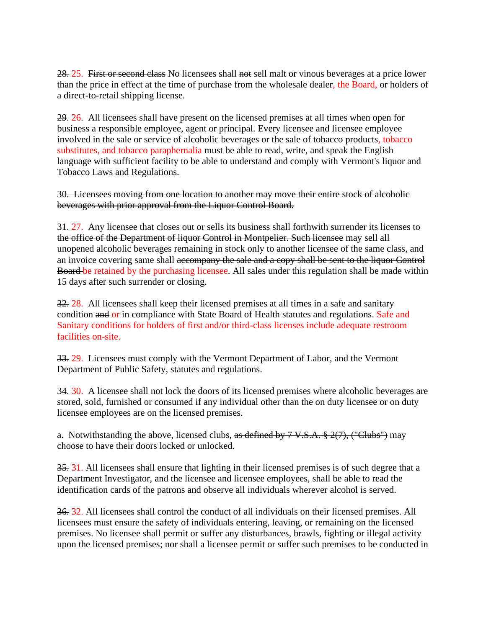28. 25. First or second class No licensees shall not sell malt or vinous beverages at a price lower than the price in effect at the time of purchase from the wholesale dealer, the Board, or holders of a direct-to-retail shipping license.

29. 26. All licensees shall have present on the licensed premises at all times when open for business a responsible employee, agent or principal. Every licensee and licensee employee involved in the sale or service of alcoholic beverages or the sale of tobacco products, tobacco substitutes, and tobacco paraphernalia must be able to read, write, and speak the English language with sufficient facility to be able to understand and comply with Vermont's liquor and Tobacco Laws and Regulations.

30. Licensees moving from one location to another may move their entire stock of alcoholic beverages with prior approval from the Liquor Control Board.

31. 27. Any licensee that closes out or sells its business shall forthwith surrender its licenses to the office of the Department of liquor Control in Montpelier. Such licensee may sell all unopened alcoholic beverages remaining in stock only to another licensee of the same class, and an invoice covering same shall accompany the sale and a copy shall be sent to the liquor Control Board be retained by the purchasing licensee. All sales under this regulation shall be made within 15 days after such surrender or closing.

<span id="page-16-0"></span>32. 28. All licensees shall keep their licensed premises at all times in a safe and sanitary condition and or in compliance with State Board of Health statutes and regulations. Safe and Sanitary conditions for holders of first and/or third-class licenses include adequate restroom facilities on-site.

33. 29. Licensees must comply with the Vermont Department of Labor, and the Vermont Department of Public Safety, statutes and regulations.

34. 30. A licensee shall not lock the doors of its licensed premises where alcoholic beverages are stored, sold, furnished or consumed if any individual other than the on duty licensee or on duty licensee employees are on the licensed premises.

a. Notwithstanding the above, licensed clubs, as defined by  $7 \text{ V.S.A.} \text{ } \frac{9}{2}(7)$ , ("Clubs") may choose to have their doors locked or unlocked.

35. 31. All licensees shall ensure that lighting in their licensed premises is of such degree that a Department Investigator, and the licensee and licensee employees, shall be able to read the identification cards of the patrons and observe all individuals wherever alcohol is served.

36. 32. All licensees shall control the conduct of all individuals on their licensed premises. All licensees must ensure the safety of individuals entering, leaving, or remaining on the licensed premises. No licensee shall permit or suffer any disturbances, brawls, fighting or illegal activity upon the licensed premises; nor shall a licensee permit or suffer such premises to be conducted in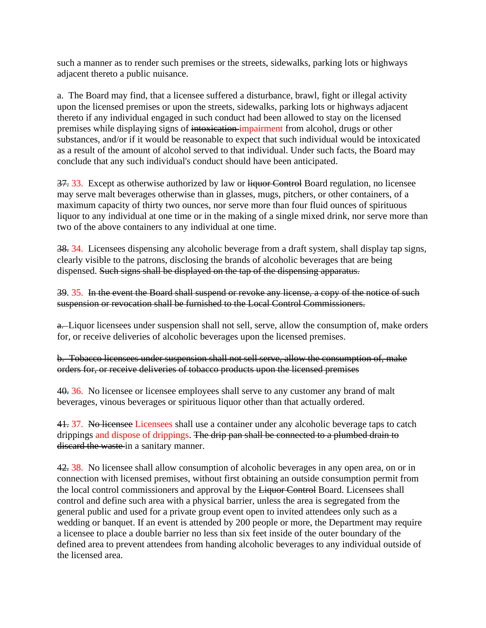such a manner as to render such premises or the streets, sidewalks, parking lots or highways adjacent thereto a public nuisance.

a. The Board may find, that a licensee suffered a disturbance, brawl, fight or illegal activity upon the licensed premises or upon the streets, sidewalks, parking lots or highways adjacent thereto if any individual engaged in such conduct had been allowed to stay on the licensed premises while displaying signs of intoxication impairment from alcohol, drugs or other substances, and/or if it would be reasonable to expect that such individual would be intoxicated as a result of the amount of alcohol served to that individual. Under such facts, the Board may conclude that any such individual's conduct should have been anticipated.

37. 33. Except as otherwise authorized by law or liquor Control Board regulation, no licensee may serve malt beverages otherwise than in glasses, mugs, pitchers, or other containers, of a maximum capacity of thirty two ounces, nor serve more than four fluid ounces of spirituous liquor to any individual at one time or in the making of a single mixed drink, nor serve more than two of the above containers to any individual at one time.

38. 34. Licensees dispensing any alcoholic beverage from a draft system, shall display tap signs, clearly visible to the patrons, disclosing the brands of alcoholic beverages that are being dispensed. Such signs shall be displayed on the tap of the dispensing apparatus.

39. 35. In the event the Board shall suspend or revoke any license, a copy of the notice of such suspension or revocation shall be furnished to the Local Control Commissioners.

a. Liquor licensees under suspension shall not sell, serve, allow the consumption of, make orders for, or receive deliveries of alcoholic beverages upon the licensed premises.

b. Tobacco licensees under suspension shall not sell serve, allow the consumption of, make orders for, or receive deliveries of tobacco products upon the licensed premises

40. 36. No licensee or licensee employees shall serve to any customer any brand of malt beverages, vinous beverages or spirituous liquor other than that actually ordered.

<span id="page-17-0"></span>41. 37. No licensee Licensees shall use a container under any alcoholic beverage taps to catch drippings and dispose of drippings. The drip pan shall be connected to a plumbed drain to discard the waste in a sanitary manner.

42. 38. No licensee shall allow consumption of alcoholic beverages in any open area, on or in connection with licensed premises, without first obtaining an outside consumption permit from the local control commissioners and approval by the Liquor Control Board. Licensees shall control and define such area with a physical barrier, unless the area is segregated from the general public and used for a private group event open to invited attendees only such as a wedding or banquet. If an event is attended by 200 people or more, the Department may require a licensee to place a double barrier no less than six feet inside of the outer boundary of the defined area to prevent attendees from handing alcoholic beverages to any individual outside of the licensed area.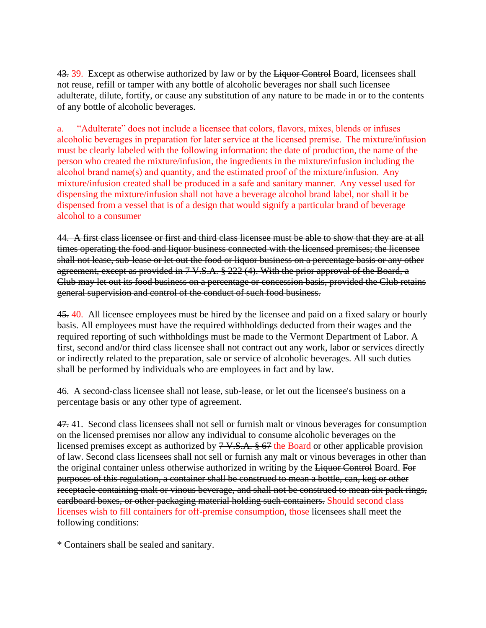<span id="page-18-0"></span>43. 39. Except as otherwise authorized by law or by the Liquor Control Board, licensees shall not reuse, refill or tamper with any bottle of alcoholic beverages nor shall such licensee adulterate, dilute, fortify, or cause any substitution of any nature to be made in or to the contents of any bottle of alcoholic beverages.

a.       "Adulterate" does not include a licensee that colors, flavors, mixes, blends or infuses alcoholic beverages in preparation for later service at the licensed premise.  The mixture/infusion must be clearly labeled with the following information: the date of production, the name of the person who created the mixture/infusion, the ingredients in the mixture/infusion including the alcohol brand name(s) and quantity, and the estimated proof of the mixture/infusion.  Any mixture/infusion created shall be produced in a safe and sanitary manner.  Any vessel used for dispensing the mixture/infusion shall not have a beverage alcohol brand label, nor shall it be dispensed from a vessel that is of a design that would signify a particular brand of beverage alcohol to a consumer

<span id="page-18-1"></span>44. A first class licensee or first and third class licensee must be able to show that they are at all times operating the food and liquor business connected with the licensed premises; the licensee shall not lease, sub-lease or let out the food or liquor business on a percentage basis or any other agreement, except as provided in 7 V.S.A. § 222 (4). With the prior approval of the Board, a Club may let out its food business on a percentage or concession basis, provided the Club retains general supervision and control of the conduct of such food business.

45. 40. All licensee employees must be hired by the licensee and paid on a fixed salary or hourly basis. All employees must have the required withholdings deducted from their wages and the required reporting of such withholdings must be made to the Vermont Department of Labor. A first, second and/or third class licensee shall not contract out any work, labor or services directly or indirectly related to the preparation, sale or service of alcoholic beverages. All such duties shall be performed by individuals who are employees in fact and by law.

46. A second-class licensee shall not lease, sub-lease, or let out the licensee's business on a percentage basis or any other type of agreement.

47. 41. Second class licensees shall not sell or furnish malt or vinous beverages for consumption on the licensed premises nor allow any individual to consume alcoholic beverages on the licensed premises except as authorized by 7 V.S.A. § 67 the Board or other applicable provision of law. Second class licensees shall not sell or furnish any malt or vinous beverages in other than the original container unless otherwise authorized in writing by the Liquor Control Board. For purposes of this regulation, a container shall be construed to mean a bottle, can, keg or other receptacle containing malt or vinous beverage, and shall not be construed to mean six pack rings, cardboard boxes, or other packaging material holding such containers. Should second class licenses wish to fill containers for off-premise consumption, those licensees shall meet the following conditions:

\* Containers shall be sealed and sanitary.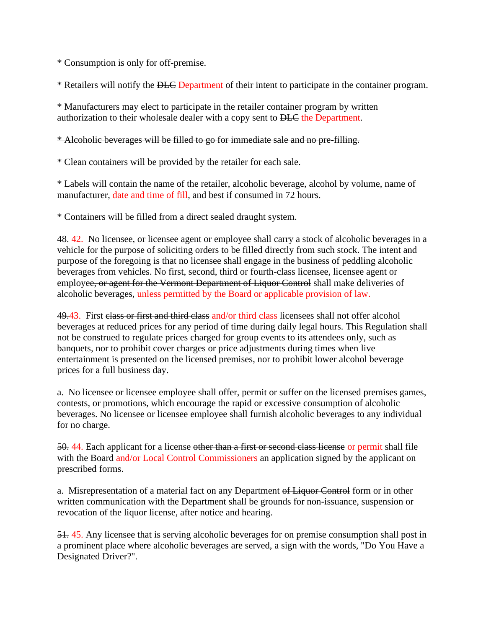\* Consumption is only for off-premise.

\* Retailers will notify the DLC Department of their intent to participate in the container program.

\* Manufacturers may elect to participate in the retailer container program by written authorization to their wholesale dealer with a copy sent to DLC the Department.

#### \* Alcoholic beverages will be filled to go for immediate sale and no pre-filling.

\* Clean containers will be provided by the retailer for each sale.

\* Labels will contain the name of the retailer, alcoholic beverage, alcohol by volume, name of manufacturer, date and time of fill, and best if consumed in 72 hours.

\* Containers will be filled from a direct sealed draught system.

48. 42. No licensee, or licensee agent or employee shall carry a stock of alcoholic beverages in a vehicle for the purpose of soliciting orders to be filled directly from such stock. The intent and purpose of the foregoing is that no licensee shall engage in the business of peddling alcoholic beverages from vehicles. No first, second, third or fourth-class licensee, licensee agent or employee, or agent for the Vermont Department of Liquor Control shall make deliveries of alcoholic beverages, unless permitted by the Board or applicable provision of law.

49.43. First class or first and third class and/or third class licensees shall not offer alcohol beverages at reduced prices for any period of time during daily legal hours. This Regulation shall not be construed to regulate prices charged for group events to its attendees only, such as banquets, nor to prohibit cover charges or price adjustments during times when live entertainment is presented on the licensed premises, nor to prohibit lower alcohol beverage prices for a full business day.

a. No licensee or licensee employee shall offer, permit or suffer on the licensed premises games, contests, or promotions, which encourage the rapid or excessive consumption of alcoholic beverages. No licensee or licensee employee shall furnish alcoholic beverages to any individual for no charge.

50. 44. Each applicant for a license other than a first or second class license or permit shall file with the Board and/or Local Control Commissioners an application signed by the applicant on prescribed forms.

a. Misrepresentation of a material fact on any Department of Liquor Control form or in other written communication with the Department shall be grounds for non-issuance, suspension or revocation of the liquor license, after notice and hearing.

51. 45. Any licensee that is serving alcoholic beverages for on premise consumption shall post in a prominent place where alcoholic beverages are served, a sign with the words, "Do You Have a Designated Driver?".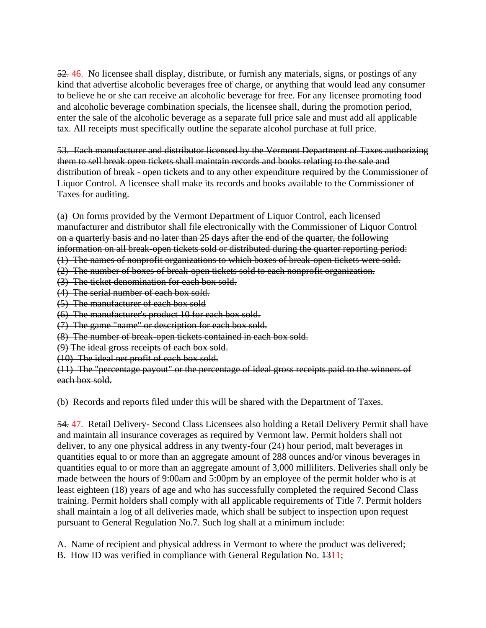52. 46. No licensee shall display, distribute, or furnish any materials, signs, or postings of any kind that advertise alcoholic beverages free of charge, or anything that would lead any consumer to believe he or she can receive an alcoholic beverage for free. For any licensee promoting food and alcoholic beverage combination specials, the licensee shall, during the promotion period, enter the sale of the alcoholic beverage as a separate full price sale and must add all applicable tax. All receipts must specifically outline the separate alcohol purchase at full price.

<span id="page-20-0"></span>53. Each manufacturer and distributor licensed by the Vermont Department of Taxes authorizing them to sell break open tickets shall maintain records and books relating to the sale and distribution of break - open tickets and to any other expenditure required by the Commissioner of Liquor Control. A licensee shall make its records and books available to the Commissioner of Taxes for auditing.

(a) On forms provided by the Vermont Department of Liquor Control, each licensed manufacturer and distributor shall file electronically with the Commissioner of Liquor Control on a quarterly basis and no later than 25 days after the end of the quarter, the following information on all break-open tickets sold or distributed during the quarter reporting period:

- (1) The names of nonprofit organizations to which boxes of break-open tickets were sold. (2) The number of boxes of break-open tickets sold to each nonprofit organization.
- (3) The ticket denomination for each box sold.
- (4) The serial number of each box sold.
- (5) The manufacturer of each box sold
- (6) The manufacturer's product 10 for each box sold.
- (7) The game "name" or description for each box sold.
- (8) The number of break-open tickets contained in each box sold.
- (9) The ideal gross receipts of each box sold.
- (10) The ideal net profit of each box sold.

(11) The "percentage payout" or the percentage of ideal gross receipts paid to the winners of each box sold.

(b) Records and reports filed under this will be shared with the Department of Taxes.

54. 47. Retail Delivery- Second Class Licensees also holding a Retail Delivery Permit shall have and maintain all insurance coverages as required by Vermont law. Permit holders shall not deliver, to any one physical address in any twenty-four (24) hour period, malt beverages in quantities equal to or more than an aggregate amount of 288 ounces and/or vinous beverages in quantities equal to or more than an aggregate amount of 3,000 milliliters. Deliveries shall only be made between the hours of 9:00am and 5:00pm by an employee of the permit holder who is at least eighteen (18) years of age and who has successfully completed the required Second Class training. Permit holders shall comply with all applicable requirements of Title 7. Permit holders shall maintain a log of all deliveries made, which shall be subject to inspection upon request pursuant to General Regulation No.7. Such log shall at a minimum include:

A. Name of recipient and physical address in Vermont to where the product was delivered;

B. How ID was verified in compliance with General Regulation No.  $\frac{1311}{12}$ ;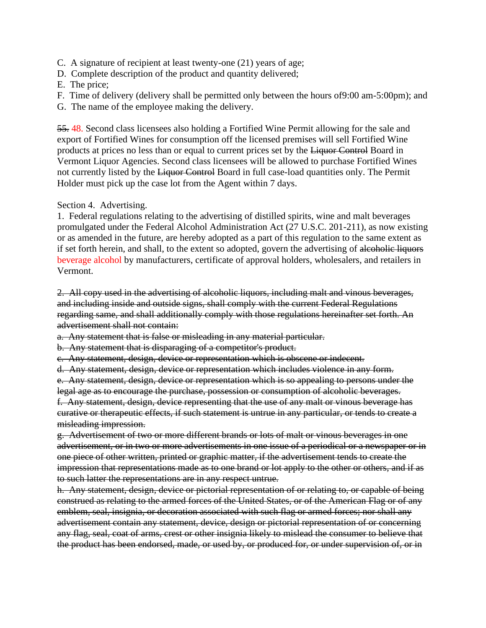- C. A signature of recipient at least twenty-one (21) years of age;
- D. Complete description of the product and quantity delivered;
- E. The price;
- F. Time of delivery (delivery shall be permitted only between the hours of9:00 am-5:00pm); and
- G. The name of the employee making the delivery.

55. 48. Second class licensees also holding a Fortified Wine Permit allowing for the sale and export of Fortified Wines for consumption off the licensed premises will sell Fortified Wine products at prices no less than or equal to current prices set by the Liquor Control Board in Vermont Liquor Agencies. Second class licensees will be allowed to purchase Fortified Wines not currently listed by the Liquor Control Board in full case-load quantities only. The Permit Holder must pick up the case lot from the Agent within 7 days.

<span id="page-21-0"></span>Section 4. Advertising.

1. Federal regulations relating to the advertising of distilled spirits, wine and malt beverages promulgated under the Federal Alcohol Administration Act (27 U.S.C. 201-211), as now existing or as amended in the future, are hereby adopted as a part of this regulation to the same extent as if set forth herein, and shall, to the extent so adopted, govern the advertising of alcoholic liquors beverage alcohol by manufacturers, certificate of approval holders, wholesalers, and retailers in Vermont.

2. All copy used in the advertising of alcoholic liquors, including malt and vinous beverages, and including inside and outside signs, shall comply with the current Federal Regulations regarding same, and shall additionally comply with those regulations hereinafter set forth. An advertisement shall not contain:

a. Any statement that is false or misleading in any material particular.

b. Any statement that is disparaging of a competitor's product.

c. Any statement, design, device or representation which is obscene or indecent.

d. Any statement, design, device or representation which includes violence in any form.

e. Any statement, design, device or representation which is so appealing to persons under the legal age as to encourage the purchase, possession or consumption of alcoholic beverages. f. Any statement, design, device representing that the use of any malt or vinous beverage has curative or therapeutic effects, if such statement is untrue in any particular, or tends to create a misleading impression.

g. Advertisement of two or more different brands or lots of malt or vinous beverages in one advertisement, or in two or more advertisements in one issue of a periodical or a newspaper or in one piece of other written, printed or graphic matter, if the advertisement tends to create the impression that representations made as to one brand or lot apply to the other or others, and if as to such latter the representations are in any respect untrue.

h. Any statement, design, device or pictorial representation of or relating to, or capable of being construed as relating to the armed forces of the United States, or of the American Flag or of any emblem, seal, insignia, or decoration associated with such flag or armed forces; nor shall any advertisement contain any statement, device, design or pictorial representation of or concerning any flag, seal, coat of arms, crest or other insignia likely to mislead the consumer to believe that the product has been endorsed, made, or used by, or produced for, or under supervision of, or in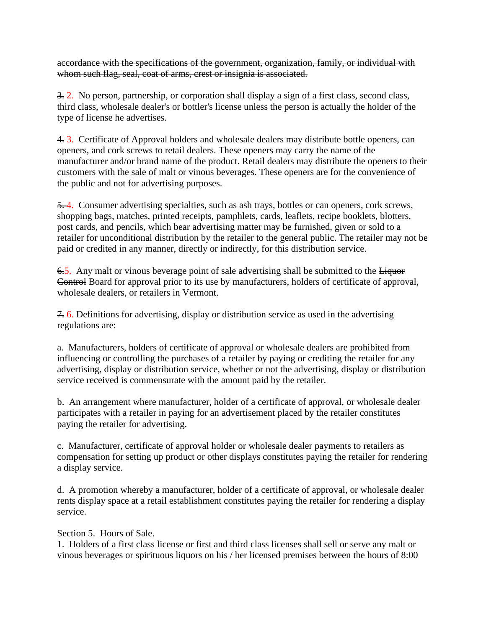accordance with the specifications of the government, organization, family, or individual with whom such flag, seal, coat of arms, crest or insignia is associated.

3. 2. No person, partnership, or corporation shall display a sign of a first class, second class, third class, wholesale dealer's or bottler's license unless the person is actually the holder of the type of license he advertises.

4. 3. Certificate of Approval holders and wholesale dealers may distribute bottle openers, can openers, and cork screws to retail dealers. These openers may carry the name of the manufacturer and/or brand name of the product. Retail dealers may distribute the openers to their customers with the sale of malt or vinous beverages. These openers are for the convenience of the public and not for advertising purposes.

5. 4. Consumer advertising specialties, such as ash trays, bottles or can openers, cork screws, shopping bags, matches, printed receipts, pamphlets, cards, leaflets, recipe booklets, blotters, post cards, and pencils, which bear advertising matter may be furnished, given or sold to a retailer for unconditional distribution by the retailer to the general public. The retailer may not be paid or credited in any manner, directly or indirectly, for this distribution service.

6.5. Any malt or vinous beverage point of sale advertising shall be submitted to the Liquor Control Board for approval prior to its use by manufacturers, holders of certificate of approval, wholesale dealers, or retailers in Vermont.

7. 6. Definitions for advertising, display or distribution service as used in the advertising regulations are:

a. Manufacturers, holders of certificate of approval or wholesale dealers are prohibited from influencing or controlling the purchases of a retailer by paying or crediting the retailer for any advertising, display or distribution service, whether or not the advertising, display or distribution service received is commensurate with the amount paid by the retailer.

b. An arrangement where manufacturer, holder of a certificate of approval, or wholesale dealer participates with a retailer in paying for an advertisement placed by the retailer constitutes paying the retailer for advertising.

c. Manufacturer, certificate of approval holder or wholesale dealer payments to retailers as compensation for setting up product or other displays constitutes paying the retailer for rendering a display service.

d. A promotion whereby a manufacturer, holder of a certificate of approval, or wholesale dealer rents display space at a retail establishment constitutes paying the retailer for rendering a display service.

#### Section 5. Hours of Sale.

1. Holders of a first class license or first and third class licenses shall sell or serve any malt or vinous beverages or spirituous liquors on his / her licensed premises between the hours of 8:00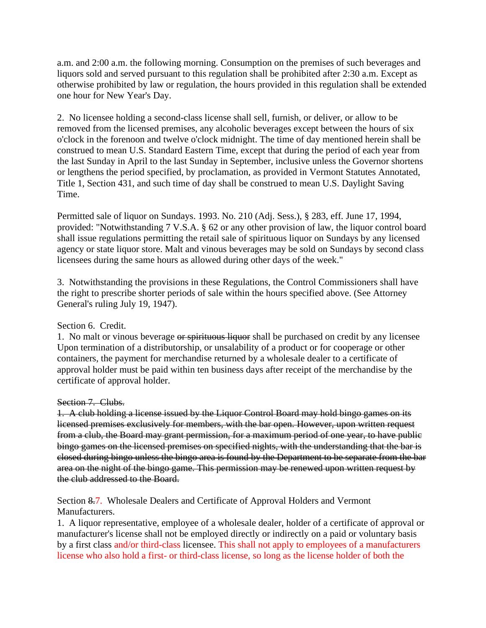a.m. and 2:00 a.m. the following morning. Consumption on the premises of such beverages and liquors sold and served pursuant to this regulation shall be prohibited after 2:30 a.m. Except as otherwise prohibited by law or regulation, the hours provided in this regulation shall be extended one hour for New Year's Day.

2. No licensee holding a second-class license shall sell, furnish, or deliver, or allow to be removed from the licensed premises, any alcoholic beverages except between the hours of six o'clock in the forenoon and twelve o'clock midnight. The time of day mentioned herein shall be construed to mean U.S. Standard Eastern Time, except that during the period of each year from the last Sunday in April to the last Sunday in September, inclusive unless the Governor shortens or lengthens the period specified, by proclamation, as provided in Vermont Statutes Annotated, Title 1, Section 431, and such time of day shall be construed to mean U.S. Daylight Saving Time.

Permitted sale of liquor on Sundays. 1993. No. 210 (Adj. Sess.), § 283, eff. June 17, 1994, provided: "Notwithstanding 7 V.S.A. § 62 or any other provision of law, the liquor control board shall issue regulations permitting the retail sale of spirituous liquor on Sundays by any licensed agency or state liquor store. Malt and vinous beverages may be sold on Sundays by second class licensees during the same hours as allowed during other days of the week."

3. Notwithstanding the provisions in these Regulations, the Control Commissioners shall have the right to prescribe shorter periods of sale within the hours specified above. (See Attorney General's ruling July 19, 1947).

#### <span id="page-23-0"></span>Section 6. Credit.

1. No malt or vinous beverage or spirituous liquor shall be purchased on credit by any licensee Upon termination of a distributorship, or unsalability of a product or for cooperage or other containers, the payment for merchandise returned by a wholesale dealer to a certificate of approval holder must be paid within ten business days after receipt of the merchandise by the certificate of approval holder.

#### <span id="page-23-1"></span>Section 7. Clubs.

1. A club holding a license issued by the Liquor Control Board may hold bingo games on its licensed premises exclusively for members, with the bar open. However, upon written request from a club, the Board may grant permission, for a maximum period of one year, to have public bingo games on the licensed premises on specified nights, with the understanding that the bar is closed during bingo unless the bingo area is found by the Department to be separate from the bar area on the night of the bingo game. This permission may be renewed upon written request by the club addressed to the Board.

<span id="page-23-2"></span>Section 8.7. Wholesale Dealers and Certificate of Approval Holders and Vermont Manufacturers.

1. A liquor representative, employee of a wholesale dealer, holder of a certificate of approval or manufacturer's license shall not be employed directly or indirectly on a paid or voluntary basis by a first class and/or third-class licensee. This shall not apply to employees of a manufacturers license who also hold a first- or third-class license, so long as the license holder of both the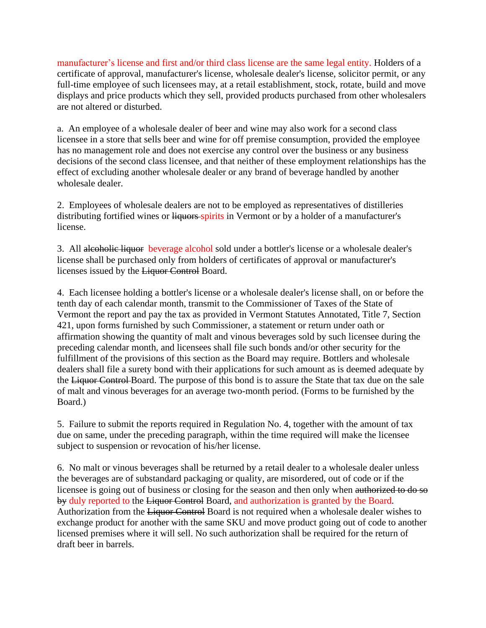manufacturer's license and first and/or third class license are the same legal entity. Holders of a certificate of approval, manufacturer's license, wholesale dealer's license, solicitor permit, or any full-time employee of such licensees may, at a retail establishment, stock, rotate, build and move displays and price products which they sell, provided products purchased from other wholesalers are not altered or disturbed.

a. An employee of a wholesale dealer of beer and wine may also work for a second class licensee in a store that sells beer and wine for off premise consumption, provided the employee has no management role and does not exercise any control over the business or any business decisions of the second class licensee, and that neither of these employment relationships has the effect of excluding another wholesale dealer or any brand of beverage handled by another wholesale dealer.

2. Employees of wholesale dealers are not to be employed as representatives of distilleries distributing fortified wines or liquors spirits in Vermont or by a holder of a manufacturer's license.

3. All alcoholic liquor beverage alcohol sold under a bottler's license or a wholesale dealer's license shall be purchased only from holders of certificates of approval or manufacturer's licenses issued by the Liquor Control Board.

4. Each licensee holding a bottler's license or a wholesale dealer's license shall, on or before the tenth day of each calendar month, transmit to the Commissioner of Taxes of the State of Vermont the report and pay the tax as provided in Vermont Statutes Annotated, Title 7, Section 421, upon forms furnished by such Commissioner, a statement or return under oath or affirmation showing the quantity of malt and vinous beverages sold by such licensee during the preceding calendar month, and licensees shall file such bonds and/or other security for the fulfillment of the provisions of this section as the Board may require. Bottlers and wholesale dealers shall file a surety bond with their applications for such amount as is deemed adequate by the Liquor Control Board. The purpose of this bond is to assure the State that tax due on the sale of malt and vinous beverages for an average two-month period. (Forms to be furnished by the Board.)

5. Failure to submit the reports required in Regulation No. 4, together with the amount of tax due on same, under the preceding paragraph, within the time required will make the licensee subject to suspension or revocation of his/her license.

6. No malt or vinous beverages shall be returned by a retail dealer to a wholesale dealer unless the beverages are of substandard packaging or quality, are misordered, out of code or if the licensee is going out of business or closing for the season and then only when authorized to do so by duly reported to the Liquor Control Board, and authorization is granted by the Board. Authorization from the Liquor Control Board is not required when a wholesale dealer wishes to exchange product for another with the same SKU and move product going out of code to another licensed premises where it will sell. No such authorization shall be required for the return of draft beer in barrels.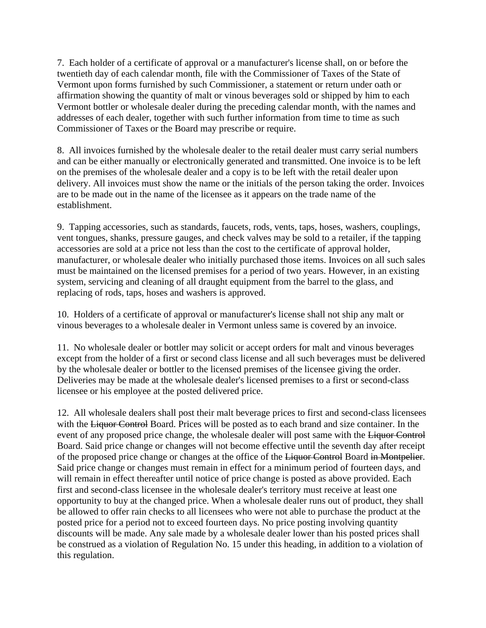7. Each holder of a certificate of approval or a manufacturer's license shall, on or before the twentieth day of each calendar month, file with the Commissioner of Taxes of the State of Vermont upon forms furnished by such Commissioner, a statement or return under oath or affirmation showing the quantity of malt or vinous beverages sold or shipped by him to each Vermont bottler or wholesale dealer during the preceding calendar month, with the names and addresses of each dealer, together with such further information from time to time as such Commissioner of Taxes or the Board may prescribe or require.

8. All invoices furnished by the wholesale dealer to the retail dealer must carry serial numbers and can be either manually or electronically generated and transmitted. One invoice is to be left on the premises of the wholesale dealer and a copy is to be left with the retail dealer upon delivery. All invoices must show the name or the initials of the person taking the order. Invoices are to be made out in the name of the licensee as it appears on the trade name of the establishment.

9. Tapping accessories, such as standards, faucets, rods, vents, taps, hoses, washers, couplings, vent tongues, shanks, pressure gauges, and check valves may be sold to a retailer, if the tapping accessories are sold at a price not less than the cost to the certificate of approval holder, manufacturer, or wholesale dealer who initially purchased those items. Invoices on all such sales must be maintained on the licensed premises for a period of two years. However, in an existing system, servicing and cleaning of all draught equipment from the barrel to the glass, and replacing of rods, taps, hoses and washers is approved.

10. Holders of a certificate of approval or manufacturer's license shall not ship any malt or vinous beverages to a wholesale dealer in Vermont unless same is covered by an invoice.

11. No wholesale dealer or bottler may solicit or accept orders for malt and vinous beverages except from the holder of a first or second class license and all such beverages must be delivered by the wholesale dealer or bottler to the licensed premises of the licensee giving the order. Deliveries may be made at the wholesale dealer's licensed premises to a first or second-class licensee or his employee at the posted delivered price.

12. All wholesale dealers shall post their malt beverage prices to first and second-class licensees with the Liquor Control Board. Prices will be posted as to each brand and size container. In the event of any proposed price change, the wholesale dealer will post same with the Liquor Control Board. Said price change or changes will not become effective until the seventh day after receipt of the proposed price change or changes at the office of the Liquor Control Board in Montpelier. Said price change or changes must remain in effect for a minimum period of fourteen days, and will remain in effect thereafter until notice of price change is posted as above provided. Each first and second-class licensee in the wholesale dealer's territory must receive at least one opportunity to buy at the changed price. When a wholesale dealer runs out of product, they shall be allowed to offer rain checks to all licensees who were not able to purchase the product at the posted price for a period not to exceed fourteen days. No price posting involving quantity discounts will be made. Any sale made by a wholesale dealer lower than his posted prices shall be construed as a violation of Regulation No. 15 under this heading, in addition to a violation of this regulation.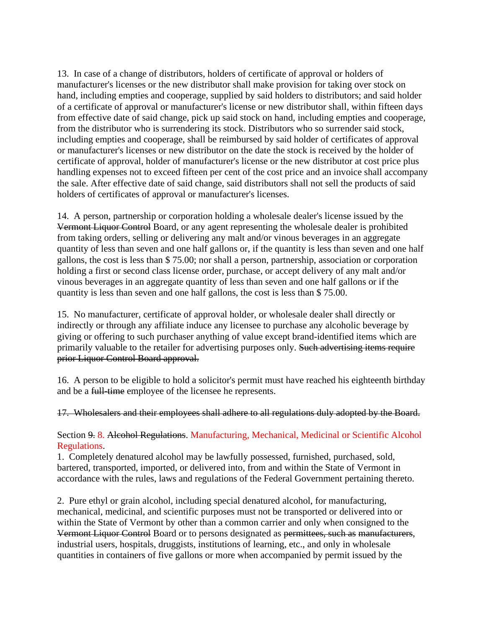13. In case of a change of distributors, holders of certificate of approval or holders of manufacturer's licenses or the new distributor shall make provision for taking over stock on hand, including empties and cooperage, supplied by said holders to distributors; and said holder of a certificate of approval or manufacturer's license or new distributor shall, within fifteen days from effective date of said change, pick up said stock on hand, including empties and cooperage, from the distributor who is surrendering its stock. Distributors who so surrender said stock, including empties and cooperage, shall be reimbursed by said holder of certificates of approval or manufacturer's licenses or new distributor on the date the stock is received by the holder of certificate of approval, holder of manufacturer's license or the new distributor at cost price plus handling expenses not to exceed fifteen per cent of the cost price and an invoice shall accompany the sale. After effective date of said change, said distributors shall not sell the products of said holders of certificates of approval or manufacturer's licenses.

14. A person, partnership or corporation holding a wholesale dealer's license issued by the Vermont Liquor Control Board, or any agent representing the wholesale dealer is prohibited from taking orders, selling or delivering any malt and/or vinous beverages in an aggregate quantity of less than seven and one half gallons or, if the quantity is less than seven and one half gallons, the cost is less than \$ 75.00; nor shall a person, partnership, association or corporation holding a first or second class license order, purchase, or accept delivery of any malt and/or vinous beverages in an aggregate quantity of less than seven and one half gallons or if the quantity is less than seven and one half gallons, the cost is less than \$ 75.00.

15. No manufacturer, certificate of approval holder, or wholesale dealer shall directly or indirectly or through any affiliate induce any licensee to purchase any alcoholic beverage by giving or offering to such purchaser anything of value except brand-identified items which are primarily valuable to the retailer for advertising purposes only. Such advertising items require prior Liquor Control Board approval.

16. A person to be eligible to hold a solicitor's permit must have reached his eighteenth birthday and be a full-time employee of the licensee he represents.

17. Wholesalers and their employees shall adhere to all regulations duly adopted by the Board.

#### <span id="page-26-0"></span>Section 9. 8. Alcohol Regulations. Manufacturing, Mechanical, Medicinal or Scientific Alcohol Regulations.

1. Completely denatured alcohol may be lawfully possessed, furnished, purchased, sold, bartered, transported, imported, or delivered into, from and within the State of Vermont in accordance with the rules, laws and regulations of the Federal Government pertaining thereto.

2. Pure ethyl or grain alcohol, including special denatured alcohol, for manufacturing, mechanical, medicinal, and scientific purposes must not be transported or delivered into or within the State of Vermont by other than a common carrier and only when consigned to the Vermont Liquor Control Board or to persons designated as permittees, such as manufacturers, industrial users, hospitals, druggists, institutions of learning, etc., and only in wholesale quantities in containers of five gallons or more when accompanied by permit issued by the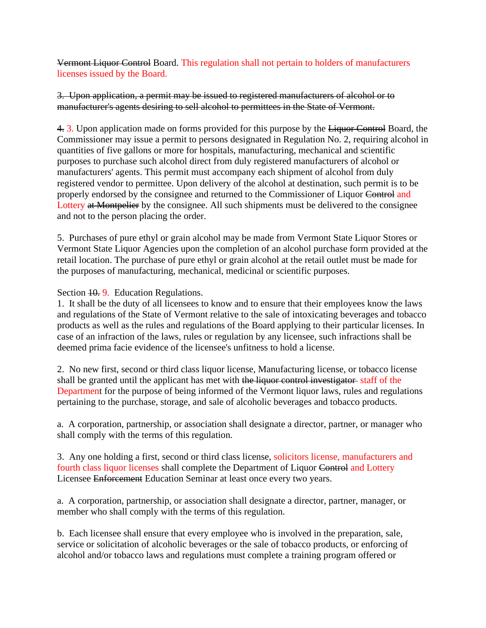Vermont Liquor Control Board. This regulation shall not pertain to holders of manufacturers licenses issued by the Board.

3. Upon application, a permit may be issued to registered manufacturers of alcohol or to manufacturer's agents desiring to sell alcohol to permittees in the State of Vermont.

4. 3. Upon application made on forms provided for this purpose by the Liquor Control Board, the Commissioner may issue a permit to persons designated in Regulation No. 2, requiring alcohol in quantities of five gallons or more for hospitals, manufacturing, mechanical and scientific purposes to purchase such alcohol direct from duly registered manufacturers of alcohol or manufacturers' agents. This permit must accompany each shipment of alcohol from duly registered vendor to permittee. Upon delivery of the alcohol at destination, such permit is to be properly endorsed by the consignee and returned to the Commissioner of Liquor Control and Lottery at Montpelier by the consignee. All such shipments must be delivered to the consignee and not to the person placing the order.

5. Purchases of pure ethyl or grain alcohol may be made from Vermont State Liquor Stores or Vermont State Liquor Agencies upon the completion of an alcohol purchase form provided at the retail location. The purchase of pure ethyl or grain alcohol at the retail outlet must be made for the purposes of manufacturing, mechanical, medicinal or scientific purposes.

<span id="page-27-0"></span>Section  $10.9$ . Education Regulations.

1. It shall be the duty of all licensees to know and to ensure that their employees know the laws and regulations of the State of Vermont relative to the sale of intoxicating beverages and tobacco products as well as the rules and regulations of the Board applying to their particular licenses. In case of an infraction of the laws, rules or regulation by any licensee, such infractions shall be deemed prima facie evidence of the licensee's unfitness to hold a license.

2. No new first, second or third class liquor license, Manufacturing license, or tobacco license shall be granted until the applicant has met with the liquor control investigator staff of the Department for the purpose of being informed of the Vermont liquor laws, rules and regulations pertaining to the purchase, storage, and sale of alcoholic beverages and tobacco products.

a. A corporation, partnership, or association shall designate a director, partner, or manager who shall comply with the terms of this regulation.

3. Any one holding a first, second or third class license, solicitors license, manufacturers and fourth class liquor licenses shall complete the Department of Liquor Control and Lottery Licensee Enforcement Education Seminar at least once every two years.

a. A corporation, partnership, or association shall designate a director, partner, manager, or member who shall comply with the terms of this regulation.

b. Each licensee shall ensure that every employee who is involved in the preparation, sale, service or solicitation of alcoholic beverages or the sale of tobacco products, or enforcing of alcohol and/or tobacco laws and regulations must complete a training program offered or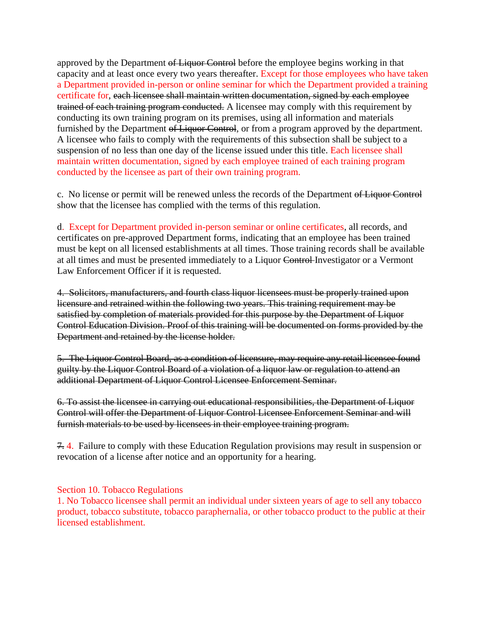approved by the Department of Liquor Control before the employee begins working in that capacity and at least once every two years thereafter. Except for those employees who have taken a Department provided in-person or online seminar for which the Department provided a training certificate for, each licensee shall maintain written documentation, signed by each employee trained of each training program conducted. A licensee may comply with this requirement by conducting its own training program on its premises, using all information and materials furnished by the Department of Liquor Control, or from a program approved by the department. A licensee who fails to comply with the requirements of this subsection shall be subject to a suspension of no less than one day of the license issued under this title. Each licensee shall maintain written documentation, signed by each employee trained of each training program conducted by the licensee as part of their own training program.

c. No license or permit will be renewed unless the records of the Department of Liquor Control show that the licensee has complied with the terms of this regulation.

d. Except for Department provided in-person seminar or online certificates, all records, and certificates on pre-approved Department forms, indicating that an employee has been trained must be kept on all licensed establishments at all times. Those training records shall be available at all times and must be presented immediately to a Liquor Control Investigator or a Vermont Law Enforcement Officer if it is requested.

4. Solicitors, manufacturers, and fourth class liquor licensees must be properly trained upon licensure and retrained within the following two years. This training requirement may be satisfied by completion of materials provided for this purpose by the Department of Liquor Control Education Division. Proof of this training will be documented on forms provided by the Department and retained by the license holder.

5. The Liquor Control Board, as a condition of licensure, may require any retail licensee found guilty by the Liquor Control Board of a violation of a liquor law or regulation to attend an additional Department of Liquor Control Licensee Enforcement Seminar.

6. To assist the licensee in carrying out educational responsibilities, the Department of Liquor Control will offer the Department of Liquor Control Licensee Enforcement Seminar and will furnish materials to be used by licensees in their employee training program.

7. 4. Failure to comply with these Education Regulation provisions may result in suspension or revocation of a license after notice and an opportunity for a hearing.

<span id="page-28-0"></span>Section 10. Tobacco Regulations

1. No Tobacco licensee shall permit an individual under sixteen years of age to sell any tobacco product, tobacco substitute, tobacco paraphernalia, or other tobacco product to the public at their licensed establishment.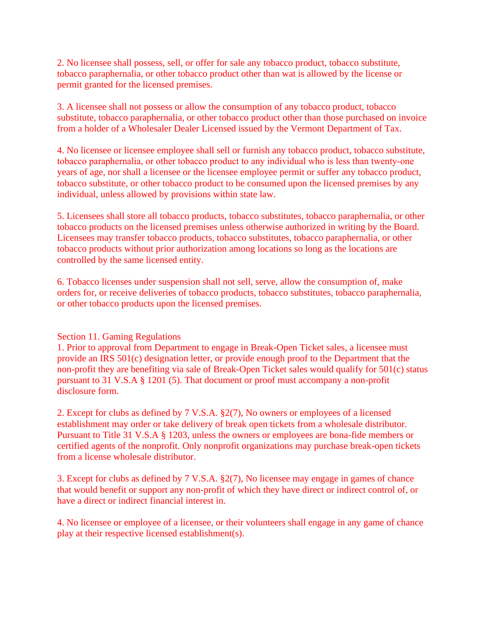2. No licensee shall possess, sell, or offer for sale any tobacco product, tobacco substitute, tobacco paraphernalia, or other tobacco product other than wat is allowed by the license or permit granted for the licensed premises.

3. A licensee shall not possess or allow the consumption of any tobacco product, tobacco substitute, tobacco paraphernalia, or other tobacco product other than those purchased on invoice from a holder of a Wholesaler Dealer Licensed issued by the Vermont Department of Tax.

4. No licensee or licensee employee shall sell or furnish any tobacco product, tobacco substitute, tobacco paraphernalia, or other tobacco product to any individual who is less than twenty‐one years of age, nor shall a licensee or the licensee employee permit or suffer any tobacco product, tobacco substitute, or other tobacco product to be consumed upon the licensed premises by any individual, unless allowed by provisions within state law.

5. Licensees shall store all tobacco products, tobacco substitutes, tobacco paraphernalia, or other tobacco products on the licensed premises unless otherwise authorized in writing by the Board. Licensees may transfer tobacco products, tobacco substitutes, tobacco paraphernalia, or other tobacco products without prior authorization among locations so long as the locations are controlled by the same licensed entity.

6. Tobacco licenses under suspension shall not sell, serve, allow the consumption of, make orders for, or receive deliveries of tobacco products, tobacco substitutes, tobacco paraphernalia, or other tobacco products upon the licensed premises.

#### <span id="page-29-0"></span>Section 11. Gaming Regulations

1. Prior to approval from Department to engage in Break-Open Ticket sales, a licensee must provide an IRS 501(c) designation letter, or provide enough proof to the Department that the non-profit they are benefiting via sale of Break-Open Ticket sales would qualify for 501(c) status pursuant to 31 V.S.A § 1201 (5). That document or proof must accompany a non-profit disclosure form.

2. Except for clubs as defined by 7 V.S.A. §2(7), No owners or employees of a licensed establishment may order or take delivery of break open tickets from a wholesale distributor. Pursuant to Title 31 V.S.A § 1203, unless the owners or employees are bona-fide members or certified agents of the nonprofit. Only nonprofit organizations may purchase break-open tickets from a license wholesale distributor.

3. Except for clubs as defined by 7 V.S.A. §2(7), No licensee may engage in games of chance that would benefit or support any non-profit of which they have direct or indirect control of, or have a direct or indirect financial interest in.

4. No licensee or employee of a licensee, or their volunteers shall engage in any game of chance play at their respective licensed establishment(s).